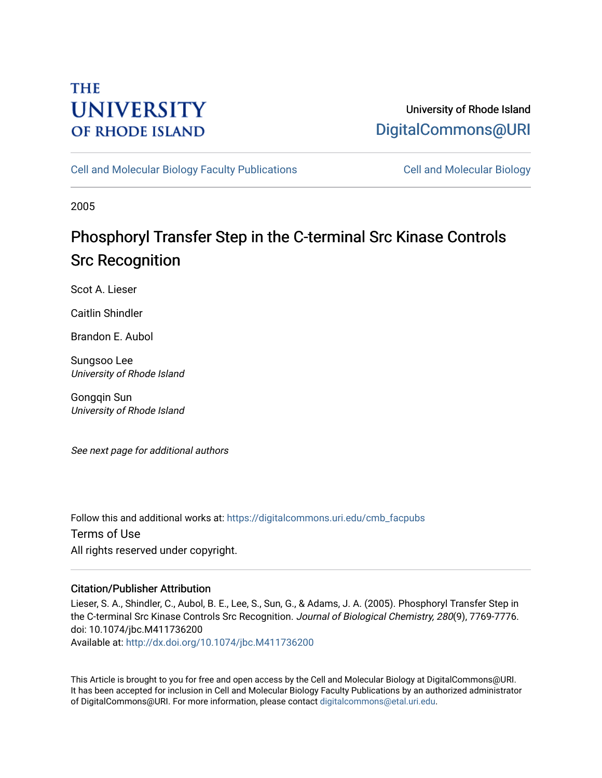## **THE UNIVERSITY OF RHODE ISLAND**

## University of Rhode Island [DigitalCommons@URI](https://digitalcommons.uri.edu/)

[Cell and Molecular Biology Faculty Publications](https://digitalcommons.uri.edu/cmb_facpubs) [Cell and Molecular Biology](https://digitalcommons.uri.edu/cmb) 

2005

# Phosphoryl Transfer Step in the C-terminal Src Kinase Controls Src Recognition

Scot A. Lieser

Caitlin Shindler

Brandon E. Aubol

Sungsoo Lee University of Rhode Island

Gongqin Sun University of Rhode Island

See next page for additional authors

Follow this and additional works at: [https://digitalcommons.uri.edu/cmb\\_facpubs](https://digitalcommons.uri.edu/cmb_facpubs?utm_source=digitalcommons.uri.edu%2Fcmb_facpubs%2F47&utm_medium=PDF&utm_campaign=PDFCoverPages)  Terms of Use All rights reserved under copyright.

### Citation/Publisher Attribution

Lieser, S. A., Shindler, C., Aubol, B. E., Lee, S., Sun, G., & Adams, J. A. (2005). Phosphoryl Transfer Step in the C-terminal Src Kinase Controls Src Recognition. Journal of Biological Chemistry, 280(9), 7769-7776. doi: 10.1074/jbc.M411736200

Available at:<http://dx.doi.org/10.1074/jbc.M411736200>

This Article is brought to you for free and open access by the Cell and Molecular Biology at DigitalCommons@URI. It has been accepted for inclusion in Cell and Molecular Biology Faculty Publications by an authorized administrator of DigitalCommons@URI. For more information, please contact [digitalcommons@etal.uri.edu](mailto:digitalcommons@etal.uri.edu).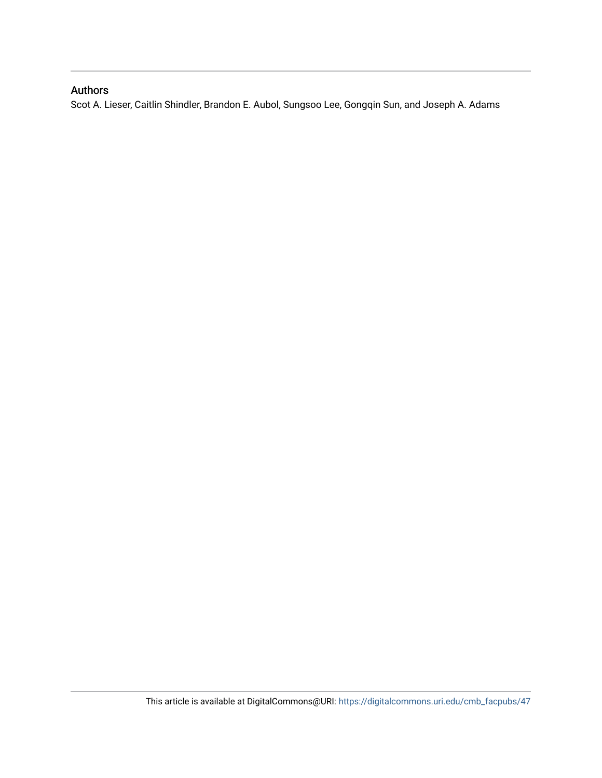## Authors

Scot A. Lieser, Caitlin Shindler, Brandon E. Aubol, Sungsoo Lee, Gongqin Sun, and Joseph A. Adams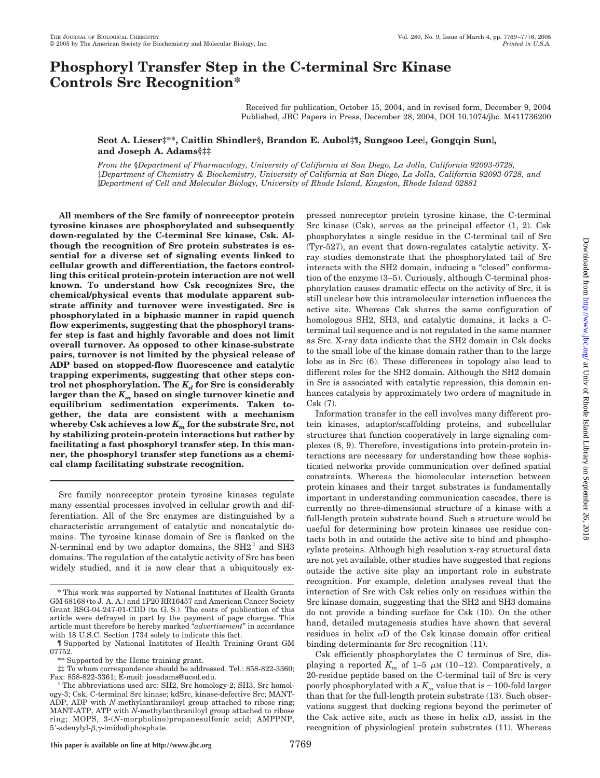## **Phosphoryl Transfer Step in the C-terminal Src Kinase Controls Src Recognition\***

Received for publication, October 15, 2004, and in revised form, December 9, 2004 Published, JBC Papers in Press, December 28, 2004, DOI 10.1074/jbc. M411736200

#### **Scot A. Lieser‡\*\*, Caitlin Shindler§, Brandon E. Aubol‡¶, Sungsoo Lee, Gongqin Sun, and Joseph A. Adams§‡‡**

*From the* §*Department of Pharmacology, University of California at San Diego, La Jolla, California 92093-0728,* ‡*Department of Chemistry & Biochemistry, University of California at San Diego, La Jolla, California 92093-0728, and Department of Cell and Molecular Biology, University of Rhode Island, Kingston, Rhode Island 02881*

**All members of the Src family of nonreceptor protein tyrosine kinases are phosphorylated and subsequently down-regulated by the C-terminal Src kinase, Csk. Although the recognition of Src protein substrates is essential for a diverse set of signaling events linked to cellular growth and differentiation, the factors controlling this critical protein-protein interaction are not well known. To understand how Csk recognizes Src, the chemical/physical events that modulate apparent substrate affinity and turnover were investigated. Src is phosphorylated in a biphasic manner in rapid quench flow experiments, suggesting that the phosphoryl transfer step is fast and highly favorable and does not limit overall turnover. As opposed to other kinase-substrate pairs, turnover is not limited by the physical release of ADP based on stopped-flow fluorescence and catalytic trapping experiments, suggesting that other steps con**trol net phosphorylation. The  $K_d$  for Src is considerably **larger than the** *Km* **based on single turnover kinetic and equilibrium sedimentation experiments. Taken together, the data are consistent with a mechanism whereby Csk achieves a low** *Km* **for the substrate Src, not by stabilizing protein-protein interactions but rather by facilitating a fast phosphoryl transfer step. In this manner, the phosphoryl transfer step functions as a chemical clamp facilitating substrate recognition.**

Src family nonreceptor protein tyrosine kinases regulate many essential processes involved in cellular growth and differentiation. All of the Src enzymes are distinguished by a characteristic arrangement of catalytic and noncatalytic domains. The tyrosine kinase domain of Src is flanked on the N-terminal end by two adaptor domains, the  $SH2<sup>1</sup>$  and  $SH3$ domains. The regulation of the catalytic activity of Src has been widely studied, and it is now clear that a ubiquitously expressed nonreceptor protein tyrosine kinase, the C-terminal Src kinase (Csk), serves as the principal effector (1, 2). Csk phosphorylates a single residue in the C-terminal tail of Src (Tyr-527), an event that down-regulates catalytic activity. Xray studies demonstrate that the phosphorylated tail of Src interacts with the SH2 domain, inducing a "closed" conformation of the enzyme (3–5). Curiously, although C-terminal phosphorylation causes dramatic effects on the activity of Src, it is still unclear how this intramolecular interaction influences the active site. Whereas Csk shares the same configuration of homologous SH2, SH3, and catalytic domains, it lacks a Cterminal tail sequence and is not regulated in the same manner as Src. X-ray data indicate that the SH2 domain in Csk docks to the small lobe of the kinase domain rather than to the large lobe as in Src (6). These differences in topology also lead to different roles for the SH2 domain. Although the SH2 domain in Src is associated with catalytic repression, this domain enhances catalysis by approximately two orders of magnitude in Csk (7).

Information transfer in the cell involves many different protein kinases, adaptor/scaffolding proteins, and subcellular structures that function cooperatively in large signaling complexes (8, 9). Therefore, investigations into protein-protein interactions are necessary for understanding how these sophisticated networks provide communication over defined spatial constraints. Whereas the biomolecular interaction between protein kinases and their target substrates is fundamentally important in understanding communication cascades, there is currently no three-dimensional structure of a kinase with a full-length protein substrate bound. Such a structure would be useful for determining how protein kinases use residue contacts both in and outside the active site to bind and phosphorylate proteins. Although high resolution x-ray structural data are not yet available, other studies have suggested that regions outside the active site play an important role in substrate recognition. For example, deletion analyses reveal that the interaction of Src with Csk relies only on residues within the Src kinase domain, suggesting that the SH2 and SH3 domains do not provide a binding surface for Csk (10). On the other hand, detailed mutagenesis studies have shown that several residues in helix  $\alpha$ D of the Csk kinase domain offer critical binding determinants for Src recognition (11).

Csk efficiently phosphorylates the C terminus of Src, displaying a reported  $K_m$  of 1–5  $\mu$ M (10–12). Comparatively, a 20-residue peptide based on the C-terminal tail of Src is very poorly phosphorylated with a  $K_m$  value that is  $\sim$ 100-fold larger than that for the full-length protein substrate (13). Such observations suggest that docking regions beyond the perimeter of the Csk active site, such as those in helix  $\alpha D$ , assist in the recognition of physiological protein substrates (11). Whereas

<sup>\*</sup> This work was supported by National Institutes of Health Grants GM 68168 (to J. A. A.) and 1P20 RR16457 and American Cancer Society Grant RSG-04-247-01-CDD (to G. S.). The costs of publication of this article were defrayed in part by the payment of page charges. This article must therefore be hereby marked "*advertisement*" in accordance with 18 U.S.C. Section 1734 solely to indicate this fact.

<sup>¶</sup> Supported by National Institutes of Health Training Grant GM 07752.

<sup>\*\*</sup> Supported by the Heme training grant.

<sup>‡‡</sup> To whom correspondence should be addressed. Tel.: 858-822-3360;

 $<sup>1</sup>$  The abbreviations used are: SH2, Src homology-2; SH3, Src homol-</sup> ogy-3; Csk, C-terminal Src kinase; kdSrc, kinase-defective Src; MANT-ADP, ADP with *N*-methylanthraniloyl group attached to ribose ring; MANT-ATP, ATP with *N*-methylanthraniloyl group attached to ribose ring; MOPS, 3-(*N*-morpholino)propanesulfonic acid; AMPPNP,  $5'$ -adenylyl- $\beta, \gamma$ -imidodiphosphate.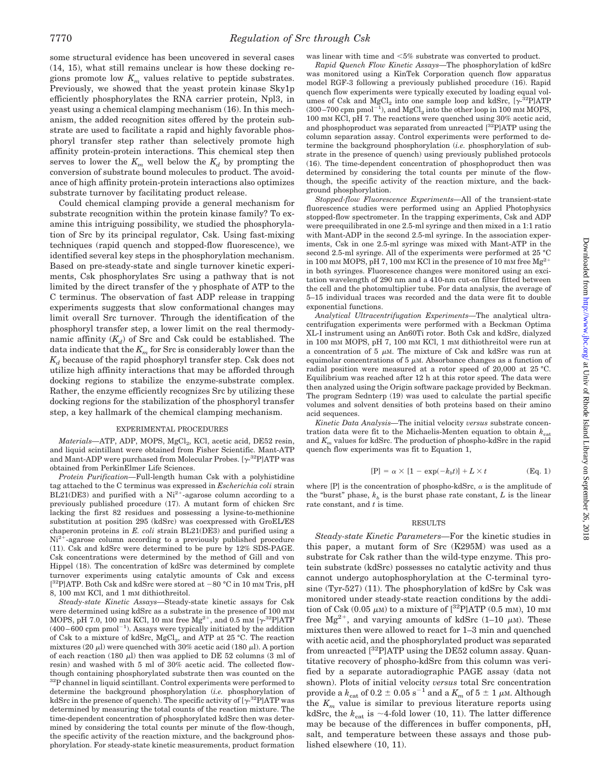some structural evidence has been uncovered in several cases (14, 15), what still remains unclear is how these docking regions promote low  $K_m$  values relative to peptide substrates. Previously, we showed that the yeast protein kinase Sky1p efficiently phosphorylates the RNA carrier protein, Npl3, in yeast using a chemical clamping mechanism (16). In this mechanism, the added recognition sites offered by the protein substrate are used to facilitate a rapid and highly favorable phosphoryl transfer step rather than selectively promote high affinity protein-protein interactions. This chemical step then serves to lower the  $K_m$  well below the  $K_d$  by prompting the conversion of substrate bound molecules to product. The avoidance of high affinity protein-protein interactions also optimizes substrate turnover by facilitating product release.

Could chemical clamping provide a general mechanism for substrate recognition within the protein kinase family? To examine this intriguing possibility, we studied the phosphorylation of Src by its principal regulator, Csk. Using fast-mixing techniques (rapid quench and stopped-flow fluorescence), we identified several key steps in the phosphorylation mechanism. Based on pre-steady-state and single turnover kinetic experiments, Csk phosphorylates Src using a pathway that is not limited by the direct transfer of the  $\gamma$  phosphate of ATP to the C terminus. The observation of fast ADP release in trapping experiments suggests that slow conformational changes may limit overall Src turnover. Through the identification of the phosphoryl transfer step, a lower limit on the real thermodynamic affinity  $(K_d)$  of Src and Csk could be established. The data indicate that the  $K_m$  for Src is considerably lower than the  $K_d$  because of the rapid phosphoryl transfer step. Csk does not utilize high affinity interactions that may be afforded through docking regions to stabilize the enzyme-substrate complex. Rather, the enzyme efficiently recognizes Src by utilizing these docking regions for the stabilization of the phosphoryl transfer step, a key hallmark of the chemical clamping mechanism.

#### EXPERIMENTAL PROCEDURES

*Materials*—ATP, ADP, MOPS, MgCl<sub>2</sub>, KCl, acetic acid, DE52 resin, and liquid scintillant were obtained from Fisher Scientific. Mant-ATP and Mant-ADP were purchased from Molecular Probes.  $[\gamma^{32}P]ATP$  was obtained from PerkinElmer Life Sciences.

*Protein Purification—*Full-length human Csk with a polyhistidine tag attached to the C terminus was expressed in *Escherichia coli* strain BL21(DE3) and purified with a  $Ni<sup>2+</sup>$ -agarose column according to a previously published procedure (17). A mutant form of chicken Src lacking the first 82 residues and possessing a lysine-to-methionine substitution at position 295 (kdSrc) was coexpressed with GroEL/ES chaperonin proteins in *E. coli* strain BL21(DE3) and purified using a  $Ni<sup>2+</sup>$ -agarose column according to a previously published procedure (11). Csk and kdSrc were determined to be pure by 12% SDS-PAGE. Csk concentrations were determined by the method of Gill and von Hippel (18). The concentration of kdSrc was determined by complete turnover experiments using catalytic amounts of Csk and excess  $[{}^{32}P]$ ATP. Both Csk and kdSrc were stored at  $-80$  °C in 10 mm Tris, pH 8, 100 mM KCl, and 1 mM dithiothreitol.

*Steady-state Kinetic Assays—*Steady-state kinetic assays for Csk were determined using kdSrc as a substrate in the presence of 100 mM MOPS, pH 7.0, 100 mm KCl, 10 mm free  $Mg^{2+}$ , and 0.5 mm [ $\gamma$ <sup>-32</sup>P]ATP  $(400-600 \text{ cm } \text{pmol}^{-1})$ . Assays were typically initiated by the addition of Csk to a mixture of kdSrc, MgCl<sub>2</sub>, and ATP at 25 °C. The reaction mixtures (20  $\mu$ ) were quenched with 30% acetic acid (180  $\mu$ ). A portion of each reaction (180  $\mu$ ) then was applied to DE 52 columns (3 ml of resin) and washed with 5 ml of 30% acetic acid. The collected flowthough containing phosphorylated substrate then was counted on the <sup>32</sup>P channel in liquid scintillant. Control experiments were performed to determine the background phosphorylation (*i.e.* phosphorylation of kdSrc in the presence of quench). The specific activity of  $[\gamma^{32}P]ATP$  was determined by measuring the total counts of the reaction mixture. The time-dependent concentration of phosphorylated kdSrc then was determined by considering the total counts per minute of the flow-though, the specific activity of the reaction mixture, and the background phosphorylation. For steady-state kinetic measurements, product formation

was linear with time and  $< 5\%$  substrate was converted to product.

*Rapid Quench Flow Kinetic Assays—*The phosphorylation of kdSrc was monitored using a KinTek Corporation quench flow apparatus model RGF-3 following a previously published procedure (16). Rapid quench flow experiments were typically executed by loading equal volumes of Csk and  $MgCl<sub>2</sub>$  into one sample loop and kdSrc, [ $\gamma$ -<sup>32</sup>P]ATP  $(300-700 \text{ rpm pmol}^{-1})$ , and  $\text{MgCl}_2$  into the other loop in 100 mm MOPS, 100 mM KCl, pH 7. The reactions were quenched using 30% acetic acid, and phosphoproduct was separated from unreacted [32P]ATP using the column separation assay. Control experiments were performed to determine the background phosphorylation (*i.e.* phosphorylation of substrate in the presence of quench) using previously published protocols (16). The time-dependent concentration of phosphoproduct then was determined by considering the total counts per minute of the flowthough, the specific activity of the reaction mixture, and the background phosphorylation.

*Stopped-flow Fluorescence Experiments—*All of the transient-state fluorescence studies were performed using an Applied Photophysics stopped-flow spectrometer. In the trapping experiments, Csk and ADP were preequilibrated in one 2.5-ml syringe and then mixed in a 1:1 ratio with Mant-ADP in the second 2.5-ml syringe. In the association experiments, Csk in one 2.5-ml syringe was mixed with Mant-ATP in the second 2.5-ml syringe. All of the experiments were performed at 25 °C in 100 mM MOPS, pH 7, 100 mM KCl in the presence of 10 mM free  $Mg^{2+}$ in both syringes. Fluorescence changes were monitored using an excitation wavelength of 290 nm and a 410-nm cut-on filter fitted between the cell and the photomultiplier tube. For data analysis, the average of 5–15 individual traces was recorded and the data were fit to double exponential functions.

*Analytical Ultracentrifugation Experiments—*The analytical ultracentrifugation experiments were performed with a Beckman Optima XL-I instrument using an An60Ti rotor. Both Csk and kdSrc, dialyzed in 100 mM MOPS, pH 7, 100 mM KCl, 1 mM dithiothreitol were run at a concentration of 5  $\mu$ M. The mixture of Csk and kdSrc was run at equimolar concentrations of  $5 \mu$ M. Absorbance changes as a function of radial position were measured at a rotor speed of 20,000 at 25 °C. Equilibrium was reached after 12 h at this rotor speed. The data were then analyzed using the Origin software package provided by Beckman. The program Sednterp (19) was used to calculate the partial specific volumes and solvent densities of both proteins based on their amino acid sequences.

*Kinetic Data Analysis—*The initial velocity *versus* substrate concentration data were fit to the Michaelis-Menten equation to obtain  $k_{\text{cat}}$ and *Km* values for kdSrc. The production of phospho-kdSrc in the rapid quench flow experiments was fit to Equation 1,

$$
[P] = \alpha \times [1 - \exp(-k_b t)] + L \times t \tag{Eq. 1}
$$

where [P] is the concentration of phospho-kdSrc,  $\alpha$  is the amplitude of the "burst" phase,  $k<sub>b</sub>$  is the burst phase rate constant, *L* is the linear rate constant, and *t* is time.

#### RESULTS

*Steady-state Kinetic Parameters—*For the kinetic studies in this paper, a mutant form of Src (K295M) was used as a substrate for Csk rather than the wild-type enzyme. This protein substrate (kdSrc) possesses no catalytic activity and thus cannot undergo autophosphorylation at the C-terminal tyrosine (Tyr-527) (11). The phosphorylation of kdSrc by Csk was monitored under steady-state reaction conditions by the addition of Csk  $(0.05 \mu M)$  to a mixture of  $[{}^{32}P]ATP$   $(0.5 \text{ mm})$ , 10 mm free Mg<sup>2+</sup>, and varying amounts of kdSrc  $(1-10 \mu M)$ . These mixtures then were allowed to react for 1–3 min and quenched with acetic acid, and the phosphorylated product was separated from unreacted  $[{}^{32}P]ATP$  using the DE52 column assay. Quantitative recovery of phospho-kdSrc from this column was verified by a separate autoradiographic PAGE assay (data not shown). Plots of initial velocity *versus* total Src concentration provide a  $k_{\mathrm{cat}}$  of 0.2  $\pm$  0.05  $\mathrm{s}^{-1}$  and a  $K_m$  of 5  $\pm$  1  $\mu$ m. Although the  $K_m$  value is similar to previous literature reports using kdSrc, the  $k_{\text{cat}}$  is  $\sim$ 4-fold lower (10, 11). The latter difference may be because of the differences in buffer components, pH, salt, and temperature between these assays and those published elsewhere (10, 11).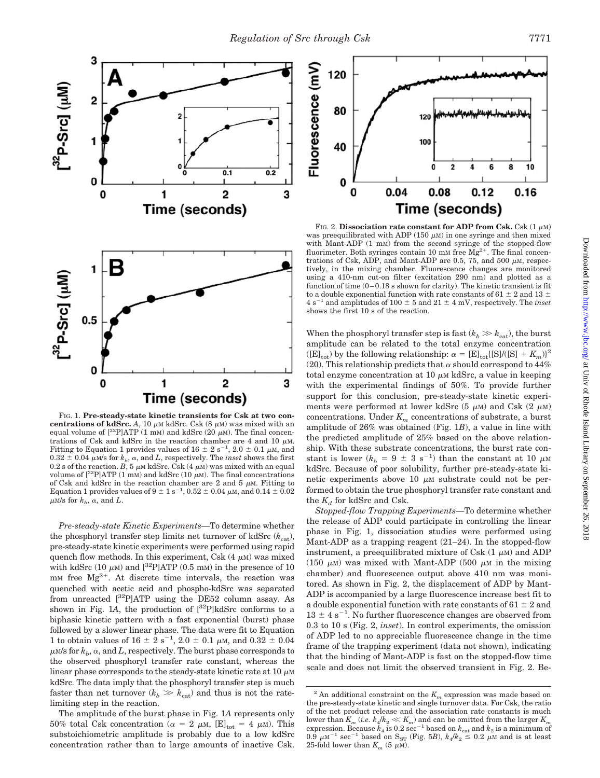

FIG. 1. **Pre-steady-state kinetic transients for Csk at two concentrations of kdSrc.** A, 10  $\mu$ M kdSrc. Csk (8  $\mu$ M) was mixed with an equal volume of  $[{}^{32}P]ATP$  (1 mM) and kdSrc (20  $\mu$ M). The final concentrations of Csk and kdSrc in the reaction chamber are 4 and 10  $\mu$ M. Fitting to Equation 1 provides values of  $16 \pm 2$  s<sup>-1</sup>,  $2.0 \pm 0.1$   $\mu$ M, and  $0.32 \pm 0.04$   $\mu$ M/s for  $k_b$ ,  $\alpha$ , and *L*, respectively. The *inset* shows the first  $0.2$  s of the reaction. *B*, 5  $\mu$ M kdSrc. Csk  $(4 \mu)$  was mixed with an equal volume of  $[{}^{32}P]ATP$  (1 mM) and kdSrc (10  $\mu$ M). The final concentrations of Csk and kdSrc in the reaction chamber are 2 and 5  $\mu$ M. Fitting to Equation 1 provides values of  $9 \pm 1$  s<sup>-1</sup>, 0.52  $\pm$  0.04  $\mu$ M, and 0.14  $\pm$  0.02  $\mu$ <sub>M</sub>/s for  $k_b$ ,  $\alpha$ , and  $L$ .

*Pre-steady-state Kinetic Experiments—*To determine whether the phosphoryl transfer step limits net turnover of kdSrc  $(k_{cat})$ , pre-steady-state kinetic experiments were performed using rapid quench flow methods. In this experiment, Csk  $(4 \mu M)$  was mixed with kdSrc (10  $\mu$ M) and [<sup>32</sup>P]ATP (0.5 mM) in the presence of 10  $mm$  free  $Mg^{2+}$ . At discrete time intervals, the reaction was quenched with acetic acid and phospho-kdSrc was separated from unreacted  $[{}^{32}P]ATP$  using the DE52 column assay. As shown in Fig. 1A, the production of  $[{}^{32}P]$ kdSrc conforms to a biphasic kinetic pattern with a fast exponential (burst) phase followed by a slower linear phase. The data were fit to Equation 1 to obtain values of  $16 \pm 2$  s<sup>-1</sup>, 2.0  $\pm$  0.1  $\mu$ M, and 0.32  $\pm$  0.04  $\mu$ m/s for  $k_b$ ,  $\alpha$ , and  $L$ , respectively. The burst phase corresponds to the observed phosphoryl transfer rate constant, whereas the linear phase corresponds to the steady-state kinetic rate at 10  $\mu$ M kdSrc. The data imply that the phosphoryl transfer step is much faster than net turnover  $(k_b \gg k_{\text{cat}})$  and thus is not the ratelimiting step in the reaction.

The amplitude of the burst phase in Fig. 1*A* represents only 50% total Csk concentration ( $\alpha = 2 \mu$ M, [E]<sub>tot</sub> = 4  $\mu$ M). This substoichiometric amplitude is probably due to a low kdSrc concentration rather than to large amounts of inactive Csk.



FIG. 2. **Dissociation rate constant for ADP from Csk.** Csk  $(1 \mu M)$ was preequilibrated with ADP  $(150 \mu)$  in one syringe and then mixed with Mant-ADP (1 mM) from the second syringe of the stopped-flow fluorimeter. Both syringes contain 10 mM free  $Mg^{2+}$ . The final concentrations of Csk, ADP, and Mant-ADP are 0.5, 75, and 500  $\mu$ M, respectively, in the mixing chamber. Fluorescence changes are monitored using a 410-nm cut-on filter (excitation 290 nm) and plotted as a function of time  $(0-0.18$  s shown for clarity). The kinetic transient is fit to a double exponential function with rate constants of 61  $\pm$  2 and 13  $\pm$ 4 s<sup>-1</sup> and amplitudes of 100  $\pm$  5 and 21  $\pm$  4 mV, respectively. The *inset* shows the first 10 s of the reaction.

When the phosphoryl transfer step is fast  $(k_b \gg k_{\text{cat}})$ , the burst amplitude can be related to the total enzyme concentration  $((E]_{tot})$  by the following relationship:  $\alpha = [E]_{tot}([S]/([S] + K_m))^2$ (20). This relationship predicts that  $\alpha$  should correspond to 44% total enzyme concentration at  $10 \mu$ M kdSrc, a value in keeping with the experimental findings of 50%. To provide further support for this conclusion, pre-steady-state kinetic experiments were performed at lower kdSrc  $(5 \mu M)$  and Csk  $(2 \mu M)$ concentrations. Under  $K_m$  concentrations of substrate, a burst amplitude of 26% was obtained (Fig. 1*B*), a value in line with the predicted amplitude of 25% based on the above relationship. With these substrate concentrations, the burst rate constant is lower ( $k_b = 9 \pm 3 \text{ s}^{-1}$ ) than the constant at 10  $\mu$ M kdSrc. Because of poor solubility, further pre-steady-state kinetic experiments above 10  $\mu$ M substrate could not be performed to obtain the true phosphoryl transfer rate constant and the  $K_d$  for kdSrc and Csk.

*Stopped-flow Trapping Experiments—*To determine whether the release of ADP could participate in controlling the linear phase in Fig. 1, dissociation studies were performed using Mant-ADP as a trapping reagent (21–24). In the stopped-flow instrument, a preequilibrated mixture of Csk  $(1 \mu)$  and ADP (150  $\mu$ M) was mixed with Mant-ADP (500  $\mu$ M in the mixing chamber) and fluorescence output above 410 nm was monitored. As shown in Fig. 2, the displacement of ADP by Mant-ADP is accompanied by a large fluorescence increase best fit to a double exponential function with rate constants of  $61 \pm 2$  and  $13 \pm 4$  s<sup>-1</sup>. No further fluorescence changes are observed from 0.3 to 10 s (Fig. 2, *inset*). In control experiments, the omission of ADP led to no appreciable fluorescence change in the time frame of the trapping experiment (data not shown), indicating that the binding of Mant-ADP is fast on the stopped-flow time scale and does not limit the observed transient in Fig. 2. Be-

<sup>&</sup>lt;sup>2</sup> An additional constraint on the  $K_m$  expression was made based on the pre-steady-state kinetic and single turnover data. For Csk, the ratio of the net product release and the association rate constants is much lower than  $K_m$  (*i.e.*  $k_4/k_2 \ll K_m$ ) and can be omitted from the larger  $K_n$ expression. Because  $\vec{k}_4$  is 0.2 sec<sup>-1</sup> based on  $k_{\text{cat}}$  and  $k_2$  is a minimum of  $0.\overline{9}$   $\mu$ M<sup>-1</sup> sec<sup>-1</sup> based on S<sub>ST</sub> (Fig. 5*B*),  $k_4/k_2 \le 0.2$   $\mu$ M and is at least 25-fold lower than  $K_m$  (5  $\mu$ M).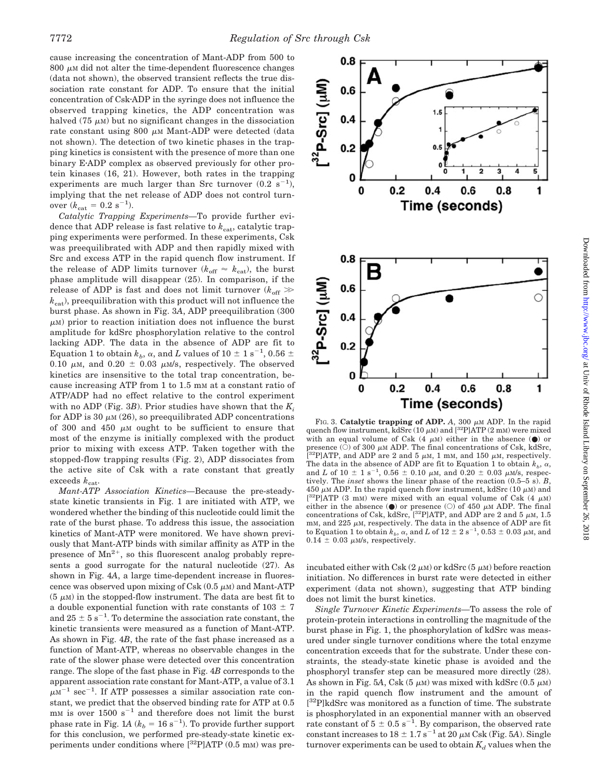cause increasing the concentration of Mant-ADP from 500 to  $800 \mu$ M did not alter the time-dependent fluorescence changes (data not shown), the observed transient reflects the true dissociation rate constant for ADP. To ensure that the initial concentration of CskADP in the syringe does not influence the observed trapping kinetics, the ADP concentration was halved (75  $\mu$ <sub>M</sub>) but no significant changes in the dissociation rate constant using 800  $\mu$ m Mant-ADP were detected (data not shown). The detection of two kinetic phases in the trapping kinetics is consistent with the presence of more than one binary EADP complex as observed previously for other protein kinases (16, 21). However, both rates in the trapping experiments are much larger than Src turnover  $(0.2 \text{ s}^{-1})$ , implying that the net release of ADP does not control turnover  $(k_{\text{cat}} = 0.2 \text{ s}^{-1})$ .

*Catalytic Trapping Experiments—*To provide further evidence that ADP release is fast relative to  $k_{\text{cat}}$ , catalytic trapping experiments were performed. In these experiments, Csk was preequilibrated with ADP and then rapidly mixed with Src and excess ATP in the rapid quench flow instrument. If the release of ADP limits turnover ( $k_{\text{off}} \approx k_{\text{cat}}$ ), the burst phase amplitude will disappear (25). In comparison, if the release of ADP is fast and does not limit turnover  $(k_{\text{off}} \gg$  $k_{\text{cat}}$ ), preequilibration with this product will not influence the burst phase. As shown in Fig. 3*A*, ADP preequilibration (300  $\mu$ M) prior to reaction initiation does not influence the burst amplitude for kdSrc phosphorylation relative to the control lacking ADP. The data in the absence of ADP are fit to Equation 1 to obtain  $k_b$ ,  $\alpha$ , and  $L$  values of 10  $\pm$  1 s<sup>-1</sup>, 0.56  $\pm$ 0.10  $\mu$ m, and 0.20  $\pm$  0.03  $\mu$ m/s, respectively. The observed kinetics are insensitive to the total trap concentration, because increasing ATP from 1 to 1.5 mM at a constant ratio of ATP/ADP had no effect relative to the control experiment with no ADP (Fig. 3*B*). Prior studies have shown that the *Ki* for ADP is 30  $\mu$ m (26), so preequilibrated ADP concentrations of 300 and 450  $\mu$ M ought to be sufficient to ensure that most of the enzyme is initially complexed with the product prior to mixing with excess ATP. Taken together with the stopped-flow trapping results (Fig. 2), ADP dissociates from the active site of Csk with a rate constant that greatly exceeds  $k_{\text{cat}}$ .

*Mant-ATP Association Kinetics—*Because the pre-steadystate kinetic transients in Fig. 1 are initiated with ATP, we wondered whether the binding of this nucleotide could limit the rate of the burst phase. To address this issue, the association kinetics of Mant-ATP were monitored. We have shown previously that Mant-ATP binds with similar affinity as ATP in the presence of  $Mn^{2+}$ , so this fluorescent analog probably represents a good surrogate for the natural nucleotide (27). As shown in Fig. 4*A*, a large time-dependent increase in fluorescence was observed upon mixing of Csk  $(0.5 \mu)$  and Mant-ATP  $(5 \mu M)$  in the stopped-flow instrument. The data are best fit to a double exponential function with rate constants of  $103 \pm 7$ and  $25 \pm 5$  s<sup>-1</sup>. To determine the association rate constant, the kinetic transients were measured as a function of Mant-ATP. As shown in Fig. 4*B*, the rate of the fast phase increased as a function of Mant-ATP, whereas no observable changes in the rate of the slower phase were detected over this concentration range. The slope of the fast phase in Fig. 4*B* corresponds to the apparent association rate constant for Mant-ATP, a value of 3.1  $\mu$ M<sup>-1</sup> sec<sup>-1</sup>. If ATP possesses a similar association rate constant, we predict that the observed binding rate for ATP at 0.5  $mm$  is over 1500 s<sup>-1</sup> and therefore does not limit the burst phase rate in Fig. 1*A* ( $k_b = 16 \text{ s}^{-1}$ ). To provide further support for this conclusion, we performed pre-steady-state kinetic experiments under conditions where  $[{}^{32}P]$ ATP (0.5 mM) was pre-

FIG. 3. **Catalytic trapping of ADP.** A, 300  $\mu$ M ADP. In the rapid quench flow instrument, kdSrc (10  $\mu$ M) and [<sup>32</sup>P]ATP (2 mM) were mixed with an equal volume of Csk  $(4 \mu M)$  either in the absence  $(①)$  or presence  $(\tilde{O})$  of 300  $\mu$ M ADP. The final concentrations of Csk, kdSrc, [<sup>32</sup>P]ATP, and ADP are 2 and 5  $\mu$ M, 1 mM, and 150  $\mu$ M, respectively. The data in the absence of ADP are fit to Equation 1 to obtain  $k_b$ ,  $\alpha$ , and *L* of 10  $\pm$  1 s<sup>-1</sup>, 0.56  $\pm$  0.10  $\mu$ M, and 0.20  $\pm$  0.03  $\mu$ M/s, respectively. The *inset* shows the linear phase of the reaction (0.5–5 s). *B*, 450  $\mu$ M ADP. In the rapid quench flow instrument, kdSrc (10  $\mu$ M) and [<sup>32</sup>P]ATP (3 mM) were mixed with an equal volume of Csk (4  $\mu$ M) either in the absence  $\left(\bullet\right)$  or presence  $\left(\circ\right)$  of 450  $\mu$ M ADP. The final concentrations of Csk, kdSrc,  $[^{32}P]ATP$ , and ADP are 2 and 5  $\mu$ M, 1.5 mm, and 225  $\mu$ m, respectively. The data in the absence of ADP are fit to Equation 1 to obtain  $k_b$ ,  $\alpha$ , and *L* of 12  $\pm$  2 s<sup>-1</sup>, 0.53  $\pm$  0.03  $\mu$ M, and  $0.14 \pm 0.03 \mu M/s$ , respectively.

incubated either with Csk  $(2 \mu)$  or kdSrc  $(5 \mu)$  before reaction initiation. No differences in burst rate were detected in either experiment (data not shown), suggesting that ATP binding does not limit the burst kinetics.

*Single Turnover Kinetic Experiments—*To assess the role of protein-protein interactions in controlling the magnitude of the burst phase in Fig. 1, the phosphorylation of kdSrc was measured under single turnover conditions where the total enzyme concentration exceeds that for the substrate. Under these constraints, the steady-state kinetic phase is avoided and the phosphoryl transfer step can be measured more directly (28). As shown in Fig. 5A, Csk  $(5 \ \mu)$  was mixed with kdSrc  $(0.5 \ \mu)$ in the rapid quench flow instrument and the amount of [ 32P]kdSrc was monitored as a function of time. The substrate is phosphorylated in an exponential manner with an observed rate constant of  $5 \pm 0.5$  s<sup>-1</sup>. By comparison, the observed rate constant increases to  $18 \pm 1.7$  s<sup>-1</sup> at 20  $\mu$ M Csk (Fig. 5*A*). Single turnover experiments can be used to obtain  $K_d$  values when the

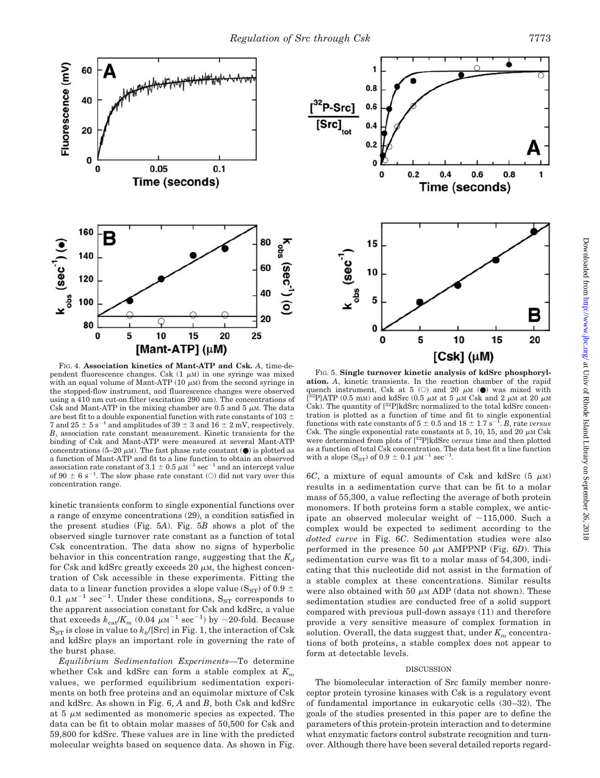

FIG. 4. **Association kinetics of Mant-ATP and Csk.** *A*, time-dependent fluorescence changes. Csk  $(1 \mu M)$  in one syringe was mixed with an equal volume of Mant-ATP  $(10 \mu)$  from the second syringe in the stopped-flow instrument, and fluorescence changes were observed using a 410 nm cut-on filter (excitation 290 nm). The concentrations of Csk and Mant-ATP in the mixing chamber are 0.5 and 5  $\mu$ M. The data are best fit to a double exponential function with rate constants of 103  $\pm$ 7 and  $25 \pm 5$  s<sup>-1</sup> and amplitudes of  $39 \pm 3$  and  $16 \pm 2$  mV, respectively. *B*, association rate constant measurement. Kinetic transients for the binding of Csk and Mant-ATP were measured at several Mant-ATP concentrations (5–20  $\mu$ M). The fast phase rate constant ( $\bullet$ ) is plotted as a function of Mant-ATP and fit to a line function to obtain an observed association rate constant of 3.1  $\pm$  0.5  $\mu$ M<sup>-1</sup> sec<sup>-1</sup> and an intercept value of 90  $\pm$  6 s<sup>-1</sup>. The slow phase rate constant (O) did not vary over this concentration range.

kinetic transients conform to single exponential functions over a range of enzyme concentrations (29), a condition satisfied in the present studies (Fig. 5*A*). Fig. 5*B* shows a plot of the observed single turnover rate constant as a function of total Csk concentration. The data show no signs of hyperbolic behavior in this concentration range, suggesting that the  $K_d$ for Csk and kdSrc greatly exceeds 20  $\mu$ м, the highest concentration of Csk accessible in these experiments. Fitting the data to a linear function provides a slope value (S<sub>ST</sub>) of 0.9  $\pm$ 0.1  $\mu$ M<sup>-1</sup> sec<sup>-1</sup>. Under these conditions, S<sub>ST</sub> corresponds to the apparent association constant for Csk and kdSrc, a value that exceeds  $k_{\text{cat}}/K_m$  (0.04  $\mu$ M<sup>-1</sup> sec<sup>-1</sup>) by ~20-fold. Because  $S_{ST}$  is close in value to  $k_b/[\text{Src}]$  in Fig. 1, the interaction of Csk and kdSrc plays an important role in governing the rate of the burst phase.

*Equilibrium Sedimentation Experiments—*To determine whether Csk and kdSrc can form a stable complex at *Km* values, we performed equilibrium sedimentation experiments on both free proteins and an equimolar mixture of Csk and kdSrc. As shown in Fig. 6, *A* and *B*, both Csk and kdSrc at  $5 \mu$ M sedimented as monomeric species as expected. The data can be fit to obtain molar masses of 50,500 for Csk and 59,800 for kdSrc. These values are in line with the predicted molecular weights based on sequence data. As shown in Fig.

![](_page_6_Figure_5.jpeg)

FIG. 5. **Single turnover kinetic analysis of kdSrc phosphorylation.** *A*, kinetic transients. In the reaction chamber of the rapid quench instrument, Csk at 5 (O) and 20  $\mu$ M ( $\bullet$ ) was mixed with  $\binom{32}{1}$ ATP (0.5 mM) and kdSrc (0.5  $\mu$ M at 5  $\mu$ M Csk and 2  $\mu$ M at 20  $\mu$ M Csk). The quantity of  $[^{32}P]$ kdSrc normalized to the total kdSrc concentration is plotted as a function of time and fit to single exponential functions with rate constants of  $5 \pm 0.5$  and  $18 \pm 1.7$  s<sup>-1</sup>. *B*, rate *versus* Csk. The single exponential rate constants at 5, 10, 15, and 20  $\mu$ M Csk were determined from plots of [32P]kdSrc *versus* time and then plotted as a function of total Csk concentration. The data best fit a line function with a slope  $(S_{ST})$  of  $0.9 \pm 0.1 \mu M^{-1} \text{ sec}^{-1}$ .

6C, a mixture of equal amounts of Csk and kdSrc  $(5 \mu M)$ results in a sedimentation curve that can be fit to a molar mass of 55,300, a value reflecting the average of both protein monomers. If both proteins form a stable complex, we anticipate an observed molecular weight of  $\sim$ 115,000. Such a complex would be expected to sediment according to the *dotted curve* in Fig. 6*C*. Sedimentation studies were also performed in the presence 50  $\mu$ <sub>M</sub> AMPPNP (Fig. 6*D*). This sedimentation curve was fit to a molar mass of 54,300, indicating that this nucleotide did not assist in the formation of a stable complex at these concentrations. Similar results were also obtained with 50  $\mu$ m ADP (data not shown). These sedimentation studies are conducted free of a solid support compared with previous pull-down assays (11) and therefore provide a very sensitive measure of complex formation in solution. Overall, the data suggest that, under  $K_m$  concentrations of both proteins, a stable complex does not appear to form at detectable levels.

#### DISCUSSION

The biomolecular interaction of Src family member nonreceptor protein tyrosine kinases with Csk is a regulatory event of fundamental importance in eukaryotic cells (30 –32). The goals of the studies presented in this paper are to define the parameters of this protein-protein interaction and to determine what enzymatic factors control substrate recognition and turnover. Although there have been several detailed reports regard-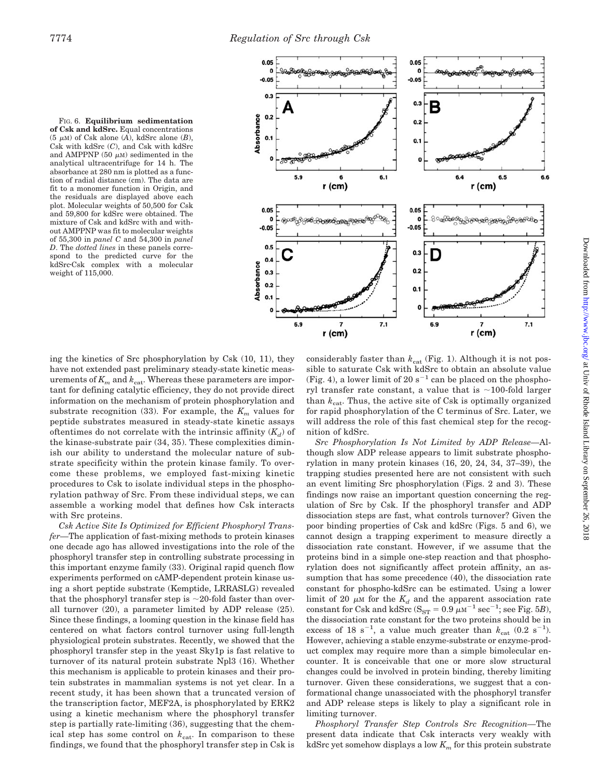![](_page_7_Figure_2.jpeg)

FIG. 6. **Equilibrium sedimentation of Csk and kdSrc.** Equal concentrations  $(5 \mu M)$  of Csk alone  $(A)$ , kdSrc alone  $(B)$ , Csk with kdSrc (*C*), and Csk with kdSrc and AMPPNP  $(50 \mu M)$  sedimented in the analytical ultracentrifuge for 14 h. The absorbance at 280 nm is plotted as a function of radial distance (cm). The data are fit to a monomer function in Origin, and the residuals are displayed above each plot. Molecular weights of 50,500 for Csk and 59,800 for kdSrc were obtained. The mixture of Csk and kdSrc with and without AMPPNP was fit to molecular weights of 55,300 in *panel C* and 54,300 in *panel D*. The *dotted lines* in these panels correspond to the predicted curve for the kdSrcCsk complex with a molecular weight of 115,000.

ing the kinetics of Src phosphorylation by Csk (10, 11), they have not extended past preliminary steady-state kinetic measurements of  $K_m$  and  $k_{\text{cat}}$ . Whereas these parameters are important for defining catalytic efficiency, they do not provide direct information on the mechanism of protein phosphorylation and substrate recognition (33). For example, the  $K_m$  values for peptide substrates measured in steady-state kinetic assays oftentimes do not correlate with the intrinsic affinity  $(K_d)$  of the kinase-substrate pair (34, 35). These complexities diminish our ability to understand the molecular nature of substrate specificity within the protein kinase family. To overcome these problems, we employed fast-mixing kinetic procedures to Csk to isolate individual steps in the phosphorylation pathway of Src. From these individual steps, we can assemble a working model that defines how Csk interacts with Src proteins.

*Csk Active Site Is Optimized for Efficient Phosphoryl Transfer—*The application of fast-mixing methods to protein kinases one decade ago has allowed investigations into the role of the phosphoryl transfer step in controlling substrate processing in this important enzyme family (33). Original rapid quench flow experiments performed on cAMP-dependent protein kinase using a short peptide substrate (Kemptide, LRRASLG) revealed that the phosphoryl transfer step is  $\sim$  20-fold faster than overall turnover (20), a parameter limited by ADP release (25). Since these findings, a looming question in the kinase field has centered on what factors control turnover using full-length physiological protein substrates. Recently, we showed that the phosphoryl transfer step in the yeast Sky1p is fast relative to turnover of its natural protein substrate Npl3 (16). Whether this mechanism is applicable to protein kinases and their protein substrates in mammalian systems is not yet clear. In a recent study, it has been shown that a truncated version of the transcription factor, MEF2A, is phosphorylated by ERK2 using a kinetic mechanism where the phosphoryl transfer step is partially rate-limiting (36), suggesting that the chemical step has some control on  $k_{\text{cat}}$ . In comparison to these findings, we found that the phosphoryl transfer step in Csk is

considerably faster than  $k_{\text{cat}}$  (Fig. 1). Although it is not possible to saturate Csk with kdSrc to obtain an absolute value (Fig. 4), a lower limit of 20 s<sup>-1</sup> can be placed on the phosphoryl transfer rate constant, a value that is  $\sim$ 100-fold larger than  $k_{\text{cat}}$ . Thus, the active site of Csk is optimally organized for rapid phosphorylation of the C terminus of Src. Later, we will address the role of this fast chemical step for the recognition of kdSrc.

*Src Phosphorylation Is Not Limited by ADP Release—*Although slow ADP release appears to limit substrate phosphorylation in many protein kinases (16, 20, 24, 34, 37–39), the trapping studies presented here are not consistent with such an event limiting Src phosphorylation (Figs. 2 and 3). These findings now raise an important question concerning the regulation of Src by Csk. If the phosphoryl transfer and ADP dissociation steps are fast, what controls turnover? Given the poor binding properties of Csk and kdSrc (Figs. 5 and 6), we cannot design a trapping experiment to measure directly a dissociation rate constant. However, if we assume that the proteins bind in a simple one-step reaction and that phosphorylation does not significantly affect protein affinity, an assumption that has some precedence (40), the dissociation rate constant for phospho-kdSrc can be estimated. Using a lower  $\lim$ it of 20  $\mu$ <sub>M</sub> for the  $K_d$  and the apparent association rate constant for Csk and kdSrc ( $S_{ST} = 0.9 \ \mu \text{m}^{-1} \text{ sec}^{-1}$ ; see Fig. 5*B*), the dissociation rate constant for the two proteins should be in excess of 18 s<sup>-1</sup>, a value much greater than  $k_{\text{cat}}$  (0.2 s<sup>-1</sup>). However, achieving a stable enzyme-substrate or enzyme-product complex may require more than a simple bimolecular encounter. It is conceivable that one or more slow structural changes could be involved in protein binding, thereby limiting turnover. Given these considerations, we suggest that a conformational change unassociated with the phosphoryl transfer and ADP release steps is likely to play a significant role in limiting turnover.

*Phosphoryl Transfer Step Controls Src Recognition—*The present data indicate that Csk interacts very weakly with kdSrc yet somehow displays a low *Km* for this protein substrate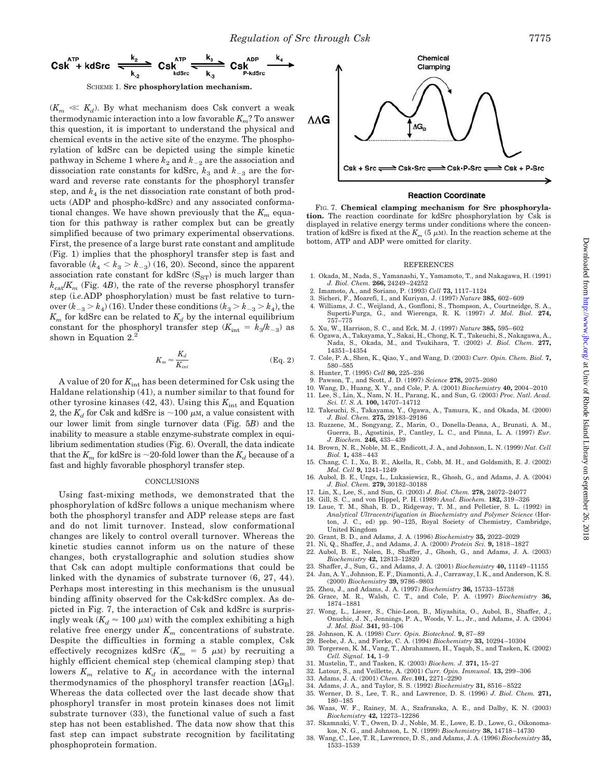![](_page_8_Figure_1.jpeg)

 $(K_m \ll K_d)$ . By what mechanism does Csk convert a weak thermodynamic interaction into a low favorable *Km*? To answer this question, it is important to understand the physical and chemical events in the active site of the enzyme. The phosphorylation of kdSrc can be depicted using the simple kinetic pathway in Scheme 1 where  $k_2$  and  $k_{-2}$  are the association and dissociation rate constants for kdSrc,  $k_3$  and  $k_{-3}$  are the forward and reverse rate constants for the phosphoryl transfer step, and  $k_4$  is the net dissociation rate constant of both products (ADP and phospho-kdSrc) and any associated conformational changes. We have shown previously that the  $K_m$  equation for this pathway is rather complex but can be greatly simplified because of two primary experimental observations. First, the presence of a large burst rate constant and amplitude (Fig. 1) implies that the phosphoryl transfer step is fast and favorable  $(k_4 < k_3 > k_{-3})$  (16, 20). Second, since the apparent association rate constant for kdSrc  $(S_{ST})$  is much larger than  $k_{\text{cat}}/K_m$  (Fig. 4*B*), the rate of the reverse phosphoryl transfer step (i*.e.*ADP phosphorylation) must be fast relative to turnover  $(k_{-3} > k_4)$  (16). Under these conditions  $(k_3 > k_{-3} > k_4)$ , the  $K_m$  for kdSrc can be related to  $K_d$  by the internal equilibrium constant for the phosphoryl transfer step  $(K_{int} = k_3/k_{-3})$  as shown in Equation  $2^2$ .

$$
K_m \approx \frac{K_d}{K_{int}} \tag{Eq. 2}
$$

A value of 20 for  $K_{\text{int}}$  has been determined for Csk using the Haldane relationship (41), a number similar to that found for other tyrosine kinases  $(42, 43)$ . Using this  $K_{int}$  and Equation 2, the  $K_d$  for Csk and kdSrc is  $\sim$ 100  $\mu$ m, a value consistent with our lower limit from single turnover data (Fig. 5*B*) and the inability to measure a stable enzyme-substrate complex in equilibrium sedimentation studies (Fig. 6). Overall, the data indicate that the  $K_m$  for kdSrc is  $\sim$ 20-fold lower than the  $K_d$  because of a fast and highly favorable phosphoryl transfer step.

#### **CONCLUSIONS**

Using fast-mixing methods, we demonstrated that the phosphorylation of kdSrc follows a unique mechanism where both the phosphoryl transfer and ADP release steps are fast and do not limit turnover. Instead, slow conformational changes are likely to control overall turnover. Whereas the kinetic studies cannot inform us on the nature of these changes, both crystallographic and solution studies show that Csk can adopt multiple conformations that could be linked with the dynamics of substrate turnover (6, 27, 44). Perhaps most interesting in this mechanism is the unusual binding affinity observed for the Csk-kdSrc complex. As depicted in Fig. 7, the interaction of Csk and kdSrc is surpris- ${\rm ingly\ weak}\ (K_d \approx 100\ \mu{\rm m})$  with the complex exhibiting a high relative free energy under  $K_m$  concentrations of substrate. Despite the difficulties in forming a stable complex, Csk effectively recognizes kdSrc ( $K_m = 5 \mu$ M) by recruiting a highly efficient chemical step (chemical clamping step) that lowers  $K_m$  relative to  $K_d$  in accordance with the internal thermodynamics of the phosphoryl transfer reaction  $[\Delta G_B]$ . Whereas the data collected over the last decade show that phosphoryl transfer in most protein kinases does not limit substrate turnover (33), the functional value of such a fast step has not been established. The data now show that this fast step can impact substrate recognition by facilitating phosphoprotein formation.

![](_page_8_Figure_7.jpeg)

#### **Reaction Coordinate**

FIG. 7. **Chemical clamping mechanism for Src phosphorylation.** The reaction coordinate for kdSrc phosphorylation by Csk is displayed in relative energy terms under conditions where the concentration of kdSrc is fixed at the  $K_m$  (5  $\mu$ m). In the reaction scheme at the bottom, ATP and ADP were omitted for clarity.

#### REFERENCES

- 1. Okada, M., Nada, S., Yamanashi, Y., Yamamoto, T., and Nakagawa, H. (1991) *J. Biol. Chem.* **266,** 24249 –24252
- 2. Imamoto, A., and Soriano, P. (1993) *Cell* **73,** 1117–1124
- 3. Sicheri, F., Moarefi, I., and Kuriyan, J. (1997) *Nature* **385,** 602– 609
- 4. Williams, J. C., Weijland, A., Gonfloni, S., Thompson, A., Courtneidge, S. A., Superti-Furga, G., and Wierenga, R. K. (1997) *J. Mol. Biol.* **274,** 757–775
- 5. Xu, W., Harrison, S. C., and Eck, M. J. (1997) *Nature* **385,** 595– 602 6. Ogawa, A., Takayama, Y., Sakai, H., Chong, K. T., Takeuchi, S., Nakagawa, A.,
- Nada, S., Okada, M., and Tsukihara, T. (2002) *J. Biol. Chem.* **277,** 14351–14354
- 7. Cole, P. A., Shen, K., Qiao, Y., and Wang, D. (2003) *Curr. Opin. Chem. Biol.* **7,** 580 –585
- 8. Hunter, T. (1995) *Cell* **80,** 225–236
	-
- 9. Pawson, T., and Scott, J. D. (1997) Science **278**, 2075–2080<br>10. Wang, D., Huang, X. Y., and Cole, P. A. (2001) *Biochemistry* **40**, 2004–2010<br>11. Lee, S., Lin, X., Nam, N. H., Parang, K., and Sun, G. (2003) *Proc. Natl*
- 12. Takeuchi, S., Takayama, Y., Ogawa, A., Tamura, K., and Okada, M. (2000)
- *J. Biol. Chem.* **275,** 29183–29186 13. Ruzzene, M., Songyang, Z., Marin, O., Donella-Deana, A., Brunati, A. M., Guerra, B., Agostinis, P., Cantley, L. C., and Pinna, L. A. (1997) *Eur. J. Biochem.* **246,** 433– 439
- 14. Brown, N. R., Noble, M. E., Endicott, J. A., and Johnson, L. N. (1999) *Nat. Cell Biol.* **1,** 438 – 443
- 15. Chang, C. I., Xu, B. E., Akella, R., Cobb, M. H., and Goldsmith, E. J. (2002) *Mol. Cell* **9,** 1241–1249
- 16. Aubol, B. E., Ungs, L., Lukasiewicz, R., Ghosh, G., and Adams, J. A. (2004) *J. Biol. Chem.* **279,** 30182–30188
- 17. Lin, X., Lee, S., and Sun, G. (2003) *J. Biol. Chem.* **278,** 24072–24077
- 18. Gill, S. C., and von Hippel, P. H. (1989) *Anal. Biochem.* **182,** 319 –326
- 19. Laue, T. M., Shah, B. D., Ridgeway, T. M., and Pelletier, S. L. (1992) in *Analytical Ultracentrifugation in Biochemistry and Polymer Science* (Horton, J. C., ed) pp. 90 –125, Royal Society of Chemistry, Cambridge, United Kingdom
- 20. Grant, B. D., and Adams, J. A. (1996) *Biochemistry* **35,** 2022–2029
- 21. Ni, Q., Shaffer, J., and Adams, J. A. (2000) *Protein Sci.* **9,** 1818 –1827
- 22. Aubol, B. E., Nolen, B., Shaffer, J., Ghosh, G., and Adams, J. A. (2003) *Biochemistry* **42,** 12813–12820
- 23. Shaffer, J., Sun, G., and Adams, J. A. (2001) *Biochemistry* **40,** 11149 –11155 24. Jan, A. Y., Johnson, E. F., Diamonti, A. J., Carraway, I. K., and Anderson, K. S.
- (2000) *Biochemistry* **39,** 9786 –9803
- 25. Zhou, J., and Adams, J. A. (1997) *Biochemistry* **36,** 15733–15738 26. Grace, M. R., Walsh, C. T., and Cole, P. A. (1997) *Biochemistry* **36,** 1874 –1881
- 27. Wong, L., Lieser, S., Chie-Leon, B., Miyashita, O., Aubol, B., Shaffer, J., Onuchic, J. N., Jennings, P. A., Woods, V. L., Jr., and Adams, J. A. (2004) *J. Mol. Biol.* **341,** 93–106
- 28. Johnson, K. A. (1998) *Curr. Opin. Biotechnol.* **9,** 87– 89
- 29. Beebe, J. A., and Fierke, C. A. (1994) *Biochemistry* **33,** 10294 –10304
- 30. Torgersen, K. M., Vang, T., Abrahamsen, H., Yaqub, S., and Tasken, K. (2002) *Cell. Signal.* **14,** 1–9
- 31. Mustelin, T., and Tasken, K. (2003) *Biochem. J.* **371,** 15–27
- 32. Latour, S., and Veillette, A. (2001) *Curr. Opin. Immunol.* **13,** 299 –306
- 33. Adams, J. A. (2001) *Chem. Rev.***101,** 2271–2290
- 34. Adams, J. A., and Taylor, S. S. (1992) *Biochemistry* **31,** 8516 8522
- 35. Werner, D. S., Lee, T. R., and Lawrence, D. S. (1996) *J. Biol. Chem.* **271,**
- 180 –185 36. Waas, W. F., Rainey, M. A., Szafranska, A. E., and Dalby, K. N. (2003) *Biochemistry* **42,** 12273–12286
- Skamnaki, V. T., Owen, D. J., Noble, M. E., Lowe, E. D., Lowe, G., Oikonomakos, N. G., and Johnson, L. N. (1999) *Biochemistry* **38,** 14718 –14730
- 38. Wang, C., Lee, T. R., Lawrence, D. S., and Adams, J. A. (1996) *Biochemistry* **35,** 1533–1539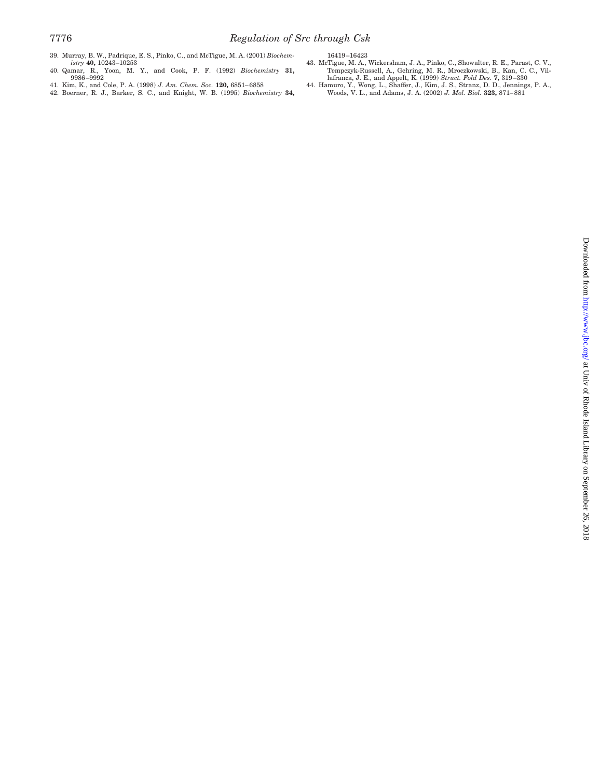- 39. Murray, B. W., Padrique, E. S., Pinko, C., and McTigue, M. A. (2001) *Biochem-istry* **40,** 10243–10253 40. Qamar, R., Yoon, M. Y., and Cook, P. F. (1992) *Biochemistry* **31,**
- 9986 –9992
- 41. Kim, K., and Cole, P. A. (1998) *J. Am. Chem. Soc.* **120,** 6851– 6858 42. Boerner, R. J., Barker, S. C., and Knight, W. B. (1995) *Biochemistry* **34,**
- 
- 16419 –16423 43. McTigue, M. A., Wickersham, J. A., Pinko, C., Showalter, R. E., Parast, C. V., Tempczyk-Russell, A., Gehring, M. R., Mroczkowski, B., Kan, C. C., Villafranca, J. E., and Appelt, K. (1999) *Struct. Fold Des.* **7,** 319–330<br>44. Hamuro, Y., Wong, L., Shaffer, J., Kim, J. S., Stranz, D. D., Jennings, P. A
-